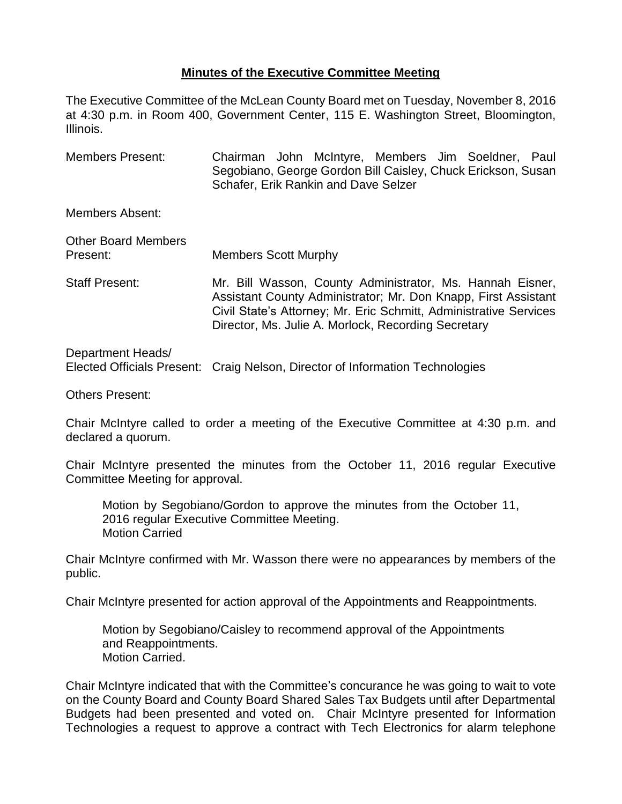## **Minutes of the Executive Committee Meeting**

The Executive Committee of the McLean County Board met on Tuesday, November 8, 2016 at 4:30 p.m. in Room 400, Government Center, 115 E. Washington Street, Bloomington, Illinois.

Members Present: Chairman John McIntyre, Members Jim Soeldner, Paul Segobiano, George Gordon Bill Caisley, Chuck Erickson, Susan Schafer, Erik Rankin and Dave Selzer

Members Absent:

| <b>Other Board Members</b><br>Present: | <b>Members Scott Murphy</b>                                                                                                                                                                                                                             |
|----------------------------------------|---------------------------------------------------------------------------------------------------------------------------------------------------------------------------------------------------------------------------------------------------------|
| <b>Staff Present:</b>                  | Mr. Bill Wasson, County Administrator, Ms. Hannah Eisner,<br>Assistant County Administrator; Mr. Don Knapp, First Assistant<br>Civil State's Attorney; Mr. Eric Schmitt, Administrative Services<br>Director, Ms. Julie A. Morlock, Recording Secretary |

Department Heads/ Elected Officials Present: Craig Nelson, Director of Information Technologies

Others Present:

Chair McIntyre called to order a meeting of the Executive Committee at 4:30 p.m. and declared a quorum.

Chair McIntyre presented the minutes from the October 11, 2016 regular Executive Committee Meeting for approval.

Motion by Segobiano/Gordon to approve the minutes from the October 11, 2016 regular Executive Committee Meeting. Motion Carried

Chair McIntyre confirmed with Mr. Wasson there were no appearances by members of the public.

Chair McIntyre presented for action approval of the Appointments and Reappointments.

Motion by Segobiano/Caisley to recommend approval of the Appointments and Reappointments. Motion Carried.

Chair McIntyre indicated that with the Committee's concurance he was going to wait to vote on the County Board and County Board Shared Sales Tax Budgets until after Departmental Budgets had been presented and voted on. Chair McIntyre presented for Information Technologies a request to approve a contract with Tech Electronics for alarm telephone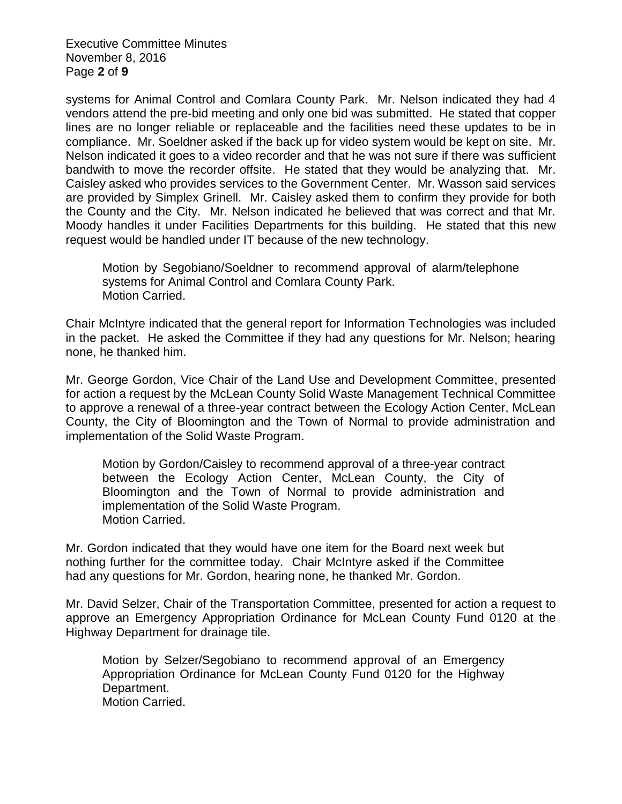Executive Committee Minutes November 8, 2016 Page **2** of **9**

systems for Animal Control and Comlara County Park. Mr. Nelson indicated they had 4 vendors attend the pre-bid meeting and only one bid was submitted. He stated that copper lines are no longer reliable or replaceable and the facilities need these updates to be in compliance. Mr. Soeldner asked if the back up for video system would be kept on site. Mr. Nelson indicated it goes to a video recorder and that he was not sure if there was sufficient bandwith to move the recorder offsite. He stated that they would be analyzing that. Mr. Caisley asked who provides services to the Government Center. Mr. Wasson said services are provided by Simplex Grinell. Mr. Caisley asked them to confirm they provide for both the County and the City. Mr. Nelson indicated he believed that was correct and that Mr. Moody handles it under Facilities Departments for this building. He stated that this new request would be handled under IT because of the new technology.

Motion by Segobiano/Soeldner to recommend approval of alarm/telephone systems for Animal Control and Comlara County Park. Motion Carried.

Chair McIntyre indicated that the general report for Information Technologies was included in the packet. He asked the Committee if they had any questions for Mr. Nelson; hearing none, he thanked him.

Mr. George Gordon, Vice Chair of the Land Use and Development Committee, presented for action a request by the McLean County Solid Waste Management Technical Committee to approve a renewal of a three-year contract between the Ecology Action Center, McLean County, the City of Bloomington and the Town of Normal to provide administration and implementation of the Solid Waste Program.

Motion by Gordon/Caisley to recommend approval of a three-year contract between the Ecology Action Center, McLean County, the City of Bloomington and the Town of Normal to provide administration and implementation of the Solid Waste Program. Motion Carried.

Mr. Gordon indicated that they would have one item for the Board next week but nothing further for the committee today. Chair McIntyre asked if the Committee had any questions for Mr. Gordon, hearing none, he thanked Mr. Gordon.

Mr. David Selzer, Chair of the Transportation Committee, presented for action a request to approve an Emergency Appropriation Ordinance for McLean County Fund 0120 at the Highway Department for drainage tile.

Motion by Selzer/Segobiano to recommend approval of an Emergency Appropriation Ordinance for McLean County Fund 0120 for the Highway Department. Motion Carried.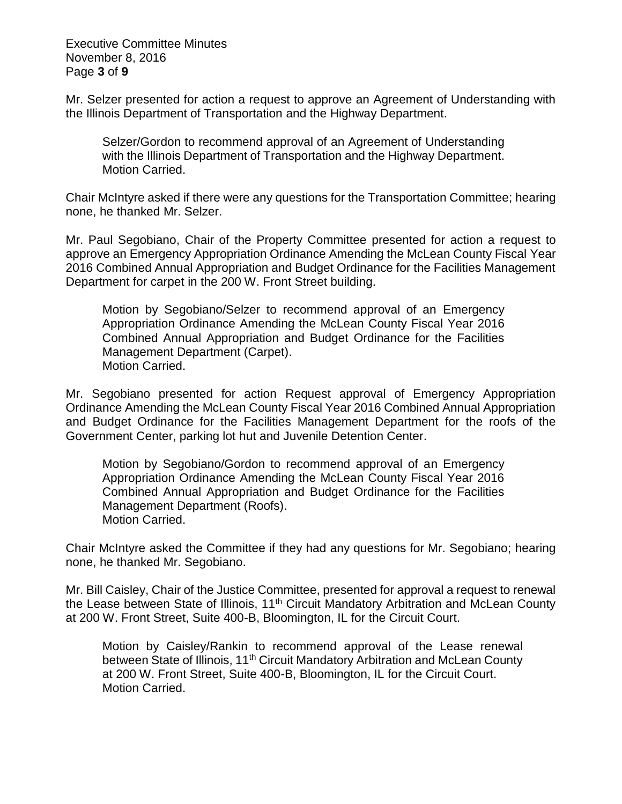Executive Committee Minutes November 8, 2016 Page **3** of **9**

Mr. Selzer presented for action a request to approve an Agreement of Understanding with the Illinois Department of Transportation and the Highway Department.

Selzer/Gordon to recommend approval of an Agreement of Understanding with the Illinois Department of Transportation and the Highway Department. Motion Carried.

Chair McIntyre asked if there were any questions for the Transportation Committee; hearing none, he thanked Mr. Selzer.

Mr. Paul Segobiano, Chair of the Property Committee presented for action a request to approve an Emergency Appropriation Ordinance Amending the McLean County Fiscal Year 2016 Combined Annual Appropriation and Budget Ordinance for the Facilities Management Department for carpet in the 200 W. Front Street building.

Motion by Segobiano/Selzer to recommend approval of an Emergency Appropriation Ordinance Amending the McLean County Fiscal Year 2016 Combined Annual Appropriation and Budget Ordinance for the Facilities Management Department (Carpet). Motion Carried.

Mr. Segobiano presented for action Request approval of Emergency Appropriation Ordinance Amending the McLean County Fiscal Year 2016 Combined Annual Appropriation and Budget Ordinance for the Facilities Management Department for the roofs of the Government Center, parking lot hut and Juvenile Detention Center.

Motion by Segobiano/Gordon to recommend approval of an Emergency Appropriation Ordinance Amending the McLean County Fiscal Year 2016 Combined Annual Appropriation and Budget Ordinance for the Facilities Management Department (Roofs). Motion Carried.

Chair McIntyre asked the Committee if they had any questions for Mr. Segobiano; hearing none, he thanked Mr. Segobiano.

Mr. Bill Caisley, Chair of the Justice Committee, presented for approval a request to renewal the Lease between State of Illinois, 11<sup>th</sup> Circuit Mandatory Arbitration and McLean County at 200 W. Front Street, Suite 400-B, Bloomington, IL for the Circuit Court.

Motion by Caisley/Rankin to recommend approval of the Lease renewal between State of Illinois, 11<sup>th</sup> Circuit Mandatory Arbitration and McLean County at 200 W. Front Street, Suite 400-B, Bloomington, IL for the Circuit Court. Motion Carried.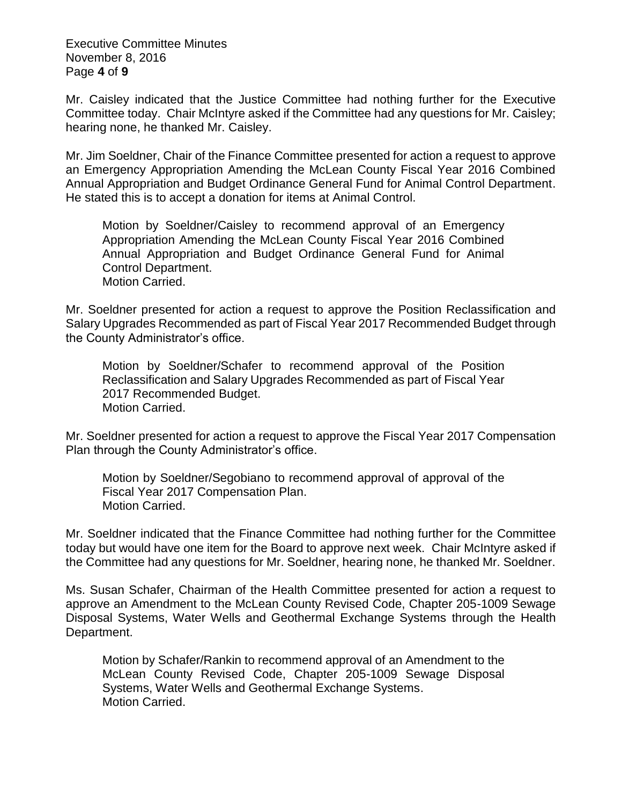Executive Committee Minutes November 8, 2016 Page **4** of **9**

Mr. Caisley indicated that the Justice Committee had nothing further for the Executive Committee today. Chair McIntyre asked if the Committee had any questions for Mr. Caisley; hearing none, he thanked Mr. Caisley.

Mr. Jim Soeldner, Chair of the Finance Committee presented for action a request to approve an Emergency Appropriation Amending the McLean County Fiscal Year 2016 Combined Annual Appropriation and Budget Ordinance General Fund for Animal Control Department. He stated this is to accept a donation for items at Animal Control.

Motion by Soeldner/Caisley to recommend approval of an Emergency Appropriation Amending the McLean County Fiscal Year 2016 Combined Annual Appropriation and Budget Ordinance General Fund for Animal Control Department. Motion Carried.

Mr. Soeldner presented for action a request to approve the Position Reclassification and Salary Upgrades Recommended as part of Fiscal Year 2017 Recommended Budget through the County Administrator's office.

Motion by Soeldner/Schafer to recommend approval of the Position Reclassification and Salary Upgrades Recommended as part of Fiscal Year 2017 Recommended Budget. Motion Carried.

Mr. Soeldner presented for action a request to approve the Fiscal Year 2017 Compensation Plan through the County Administrator's office.

Motion by Soeldner/Segobiano to recommend approval of approval of the Fiscal Year 2017 Compensation Plan. Motion Carried.

Mr. Soeldner indicated that the Finance Committee had nothing further for the Committee today but would have one item for the Board to approve next week. Chair McIntyre asked if the Committee had any questions for Mr. Soeldner, hearing none, he thanked Mr. Soeldner.

Ms. Susan Schafer, Chairman of the Health Committee presented for action a request to approve an Amendment to the McLean County Revised Code, Chapter 205-1009 Sewage Disposal Systems, Water Wells and Geothermal Exchange Systems through the Health Department.

Motion by Schafer/Rankin to recommend approval of an Amendment to the McLean County Revised Code, Chapter 205-1009 Sewage Disposal Systems, Water Wells and Geothermal Exchange Systems. Motion Carried.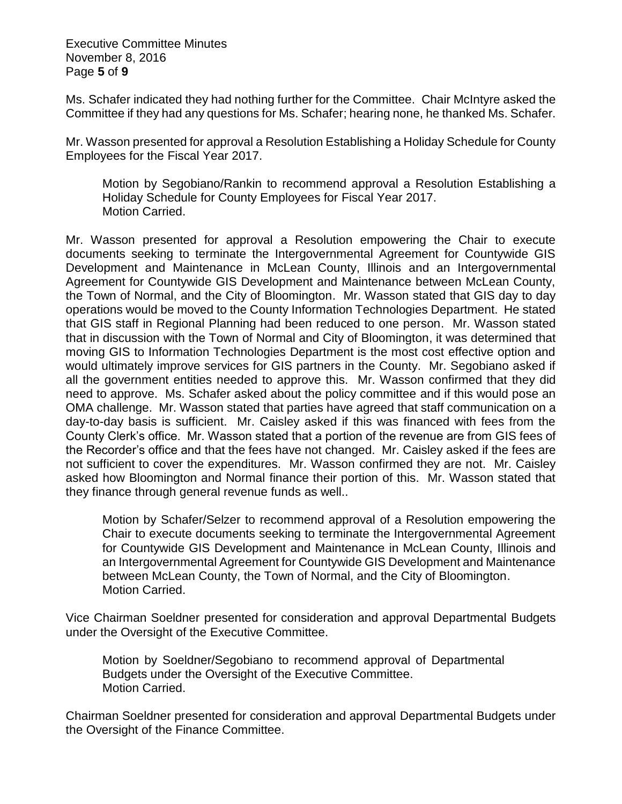Executive Committee Minutes November 8, 2016 Page **5** of **9**

Ms. Schafer indicated they had nothing further for the Committee. Chair McIntyre asked the Committee if they had any questions for Ms. Schafer; hearing none, he thanked Ms. Schafer.

Mr. Wasson presented for approval a Resolution Establishing a Holiday Schedule for County Employees for the Fiscal Year 2017.

Motion by Segobiano/Rankin to recommend approval a Resolution Establishing a Holiday Schedule for County Employees for Fiscal Year 2017. Motion Carried.

Mr. Wasson presented for approval a Resolution empowering the Chair to execute documents seeking to terminate the Intergovernmental Agreement for Countywide GIS Development and Maintenance in McLean County, Illinois and an Intergovernmental Agreement for Countywide GIS Development and Maintenance between McLean County, the Town of Normal, and the City of Bloomington. Mr. Wasson stated that GIS day to day operations would be moved to the County Information Technologies Department. He stated that GIS staff in Regional Planning had been reduced to one person. Mr. Wasson stated that in discussion with the Town of Normal and City of Bloomington, it was determined that moving GIS to Information Technologies Department is the most cost effective option and would ultimately improve services for GIS partners in the County. Mr. Segobiano asked if all the government entities needed to approve this. Mr. Wasson confirmed that they did need to approve. Ms. Schafer asked about the policy committee and if this would pose an OMA challenge. Mr. Wasson stated that parties have agreed that staff communication on a day-to-day basis is sufficient. Mr. Caisley asked if this was financed with fees from the County Clerk's office. Mr. Wasson stated that a portion of the revenue are from GIS fees of the Recorder's office and that the fees have not changed. Mr. Caisley asked if the fees are not sufficient to cover the expenditures. Mr. Wasson confirmed they are not. Mr. Caisley asked how Bloomington and Normal finance their portion of this. Mr. Wasson stated that they finance through general revenue funds as well..

Motion by Schafer/Selzer to recommend approval of a Resolution empowering the Chair to execute documents seeking to terminate the Intergovernmental Agreement for Countywide GIS Development and Maintenance in McLean County, Illinois and an Intergovernmental Agreement for Countywide GIS Development and Maintenance between McLean County, the Town of Normal, and the City of Bloomington. Motion Carried.

Vice Chairman Soeldner presented for consideration and approval Departmental Budgets under the Oversight of the Executive Committee.

Motion by Soeldner/Segobiano to recommend approval of Departmental Budgets under the Oversight of the Executive Committee. Motion Carried.

Chairman Soeldner presented for consideration and approval Departmental Budgets under the Oversight of the Finance Committee.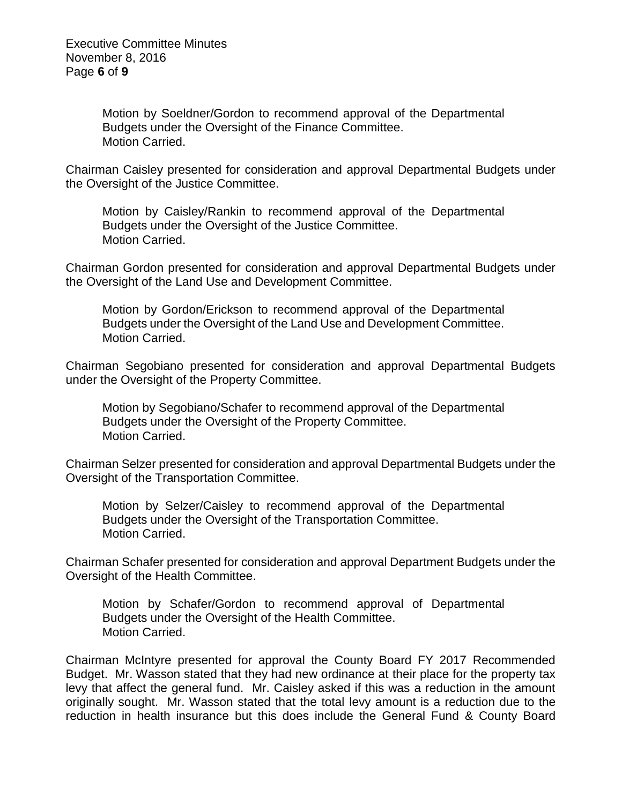Motion by Soeldner/Gordon to recommend approval of the Departmental Budgets under the Oversight of the Finance Committee. Motion Carried.

Chairman Caisley presented for consideration and approval Departmental Budgets under the Oversight of the Justice Committee.

Motion by Caisley/Rankin to recommend approval of the Departmental Budgets under the Oversight of the Justice Committee. Motion Carried.

Chairman Gordon presented for consideration and approval Departmental Budgets under the Oversight of the Land Use and Development Committee.

Motion by Gordon/Erickson to recommend approval of the Departmental Budgets under the Oversight of the Land Use and Development Committee. Motion Carried.

Chairman Segobiano presented for consideration and approval Departmental Budgets under the Oversight of the Property Committee.

Motion by Segobiano/Schafer to recommend approval of the Departmental Budgets under the Oversight of the Property Committee. Motion Carried.

Chairman Selzer presented for consideration and approval Departmental Budgets under the Oversight of the Transportation Committee.

Motion by Selzer/Caisley to recommend approval of the Departmental Budgets under the Oversight of the Transportation Committee. Motion Carried.

Chairman Schafer presented for consideration and approval Department Budgets under the Oversight of the Health Committee.

Motion by Schafer/Gordon to recommend approval of Departmental Budgets under the Oversight of the Health Committee. Motion Carried.

Chairman McIntyre presented for approval the County Board FY 2017 Recommended Budget. Mr. Wasson stated that they had new ordinance at their place for the property tax levy that affect the general fund. Mr. Caisley asked if this was a reduction in the amount originally sought. Mr. Wasson stated that the total levy amount is a reduction due to the reduction in health insurance but this does include the General Fund & County Board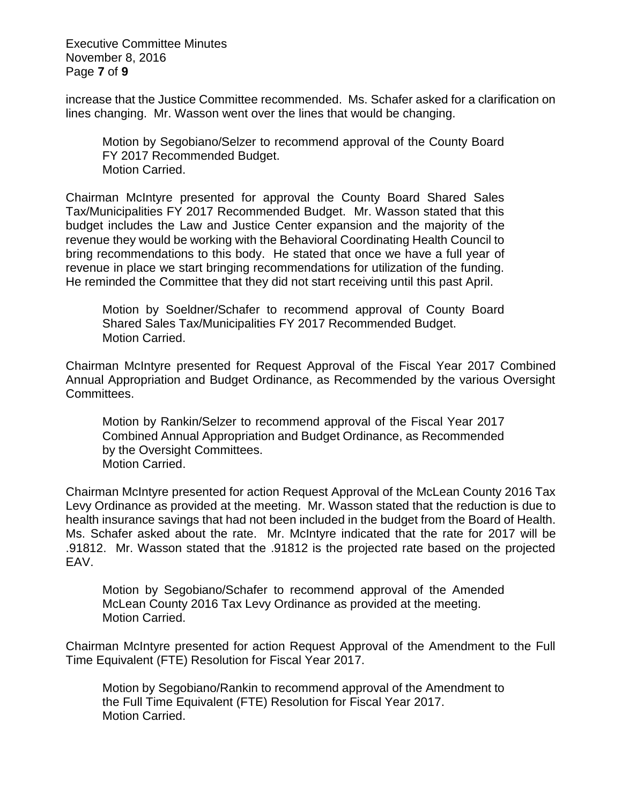Executive Committee Minutes November 8, 2016 Page **7** of **9**

increase that the Justice Committee recommended. Ms. Schafer asked for a clarification on lines changing. Mr. Wasson went over the lines that would be changing.

Motion by Segobiano/Selzer to recommend approval of the County Board FY 2017 Recommended Budget. Motion Carried.

Chairman McIntyre presented for approval the County Board Shared Sales Tax/Municipalities FY 2017 Recommended Budget. Mr. Wasson stated that this budget includes the Law and Justice Center expansion and the majority of the revenue they would be working with the Behavioral Coordinating Health Council to bring recommendations to this body. He stated that once we have a full year of revenue in place we start bringing recommendations for utilization of the funding. He reminded the Committee that they did not start receiving until this past April.

Motion by Soeldner/Schafer to recommend approval of County Board Shared Sales Tax/Municipalities FY 2017 Recommended Budget. Motion Carried.

Chairman McIntyre presented for Request Approval of the Fiscal Year 2017 Combined Annual Appropriation and Budget Ordinance, as Recommended by the various Oversight Committees.

Motion by Rankin/Selzer to recommend approval of the Fiscal Year 2017 Combined Annual Appropriation and Budget Ordinance, as Recommended by the Oversight Committees. Motion Carried.

Chairman McIntyre presented for action Request Approval of the McLean County 2016 Tax Levy Ordinance as provided at the meeting. Mr. Wasson stated that the reduction is due to health insurance savings that had not been included in the budget from the Board of Health. Ms. Schafer asked about the rate. Mr. McIntyre indicated that the rate for 2017 will be .91812. Mr. Wasson stated that the .91812 is the projected rate based on the projected EAV.

Motion by Segobiano/Schafer to recommend approval of the Amended McLean County 2016 Tax Levy Ordinance as provided at the meeting. Motion Carried.

Chairman McIntyre presented for action Request Approval of the Amendment to the Full Time Equivalent (FTE) Resolution for Fiscal Year 2017.

Motion by Segobiano/Rankin to recommend approval of the Amendment to the Full Time Equivalent (FTE) Resolution for Fiscal Year 2017. Motion Carried.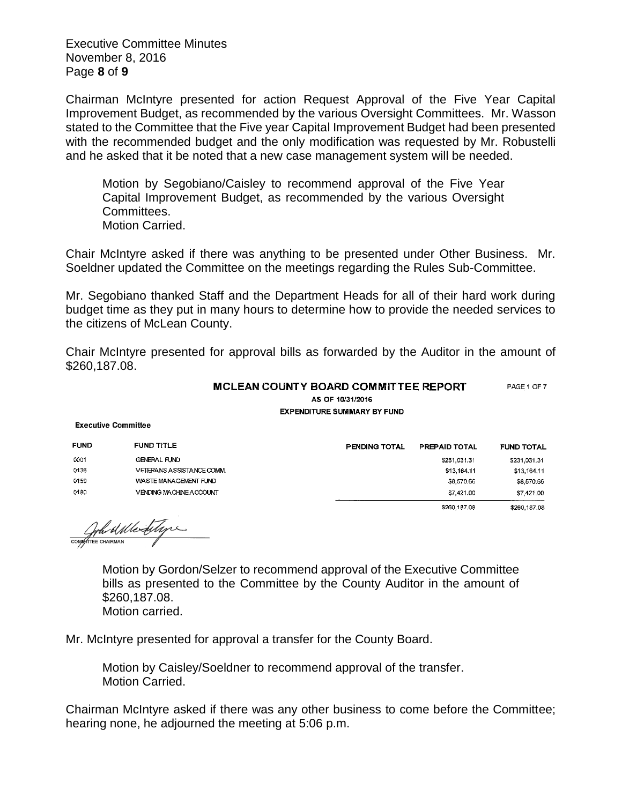Executive Committee Minutes November 8, 2016 Page **8** of **9**

Chairman McIntyre presented for action Request Approval of the Five Year Capital Improvement Budget, as recommended by the various Oversight Committees. Mr. Wasson stated to the Committee that the Five year Capital Improvement Budget had been presented with the recommended budget and the only modification was requested by Mr. Robustelli and he asked that it be noted that a new case management system will be needed.

Motion by Segobiano/Caisley to recommend approval of the Five Year Capital Improvement Budget, as recommended by the various Oversight Committees. Motion Carried.

Chair McIntyre asked if there was anything to be presented under Other Business. Mr. Soeldner updated the Committee on the meetings regarding the Rules Sub-Committee.

Mr. Segobiano thanked Staff and the Department Heads for all of their hard work during budget time as they put in many hours to determine how to provide the needed services to the citizens of McLean County.

Chair McIntyre presented for approval bills as forwarded by the Auditor in the amount of \$260,187.08.

> MCLEAN COUNTY BOARD COMMITTEE REPORT PAGE 1 OF 7 AS OF 10/31/2016 **EXPENDITURE SUMMARY BY FUND**

**Executive Committee** 

| <b>FUND</b> | <b>FUND TITLE</b>              | <b>PENDING TOTAL</b> | <b>PREPAID TOTAL</b> | <b>FUND TOTAL</b> |
|-------------|--------------------------------|----------------------|----------------------|-------------------|
| 0001        | <b>GENERAL FUND</b>            |                      | \$231,031.31         | \$231,031.31      |
| 0136        | VETERANS ASSISTANCE COMM.      |                      | \$13,164.11          | \$13,164,11       |
| 0159        | WASTE MANAGEMENT FUND          |                      | \$8,570.66           | \$8,570.66        |
| 0180        | <b>VENDING MACHINE ACCOUNT</b> |                      | \$7,421.00           | \$7,421.00        |
|             |                                |                      | \$260,187.08         | \$260,187.08      |

Compten a Merditagne

Motion by Gordon/Selzer to recommend approval of the Executive Committee bills as presented to the Committee by the County Auditor in the amount of \$260,187.08.

Motion carried.

Mr. McIntyre presented for approval a transfer for the County Board.

Motion by Caisley/Soeldner to recommend approval of the transfer. Motion Carried.

Chairman McIntyre asked if there was any other business to come before the Committee; hearing none, he adjourned the meeting at 5:06 p.m.